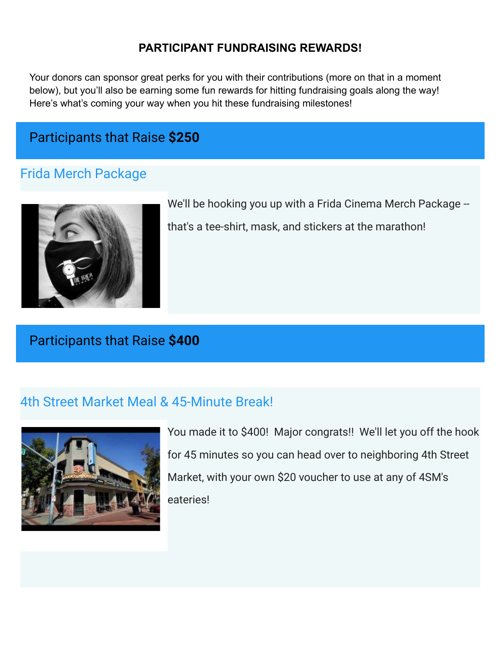#### **PARTICIPANT FUNDRAISING REWARDS!**

Your donors can sponsor great perks for you with their contributions (more on that in a moment below), but you'll also be earning some fun rewards for hitting fundraising goals along the way! Here's what's coming your way when you hit these fundraising milestones!

## Participants that Raise **\$250**

### Frida Merch Package



We'll be hooking you up with a Frida Cinema Merch Package -that's a tee-shirt, mask, and stickers at the marathon!

## Participants that Raise **\$400**

### 4th Street Market Meal & 45-Minute Break!



You made it to \$400! Major congrats!! We'll let you off the hook for 45 minutes so you can head over to neighboring 4th Street Market, with your own \$20 voucher to use at any of 4SM's eateries!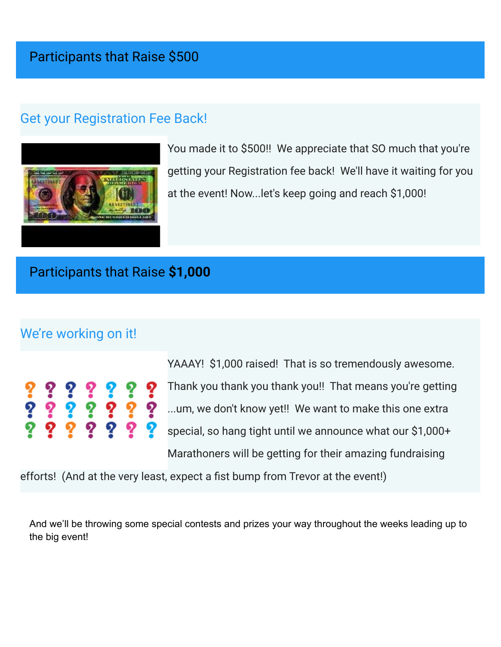## Get your Registration Fee Back!



You made it to \$500!! We appreciate that SO much that you're getting your Registration fee back! We'll have it waiting for you at the event! Now...let's keep going and reach \$1,000!

## Participants that Raise **\$1,000**

## We're working on it!

|  | ? ? ? ? ? ? ?<br>? ? ? ? ? ? ?<br>? ? ? ? ? ? ? |  |  |
|--|-------------------------------------------------|--|--|
|  |                                                 |  |  |

YAAAY! \$1,000 raised! That is so tremendously awesome. Thank you thank you thank you!! That means you're getting ...um, we don't know yet!! We want to make this one extra special, so hang tight until we announce what our \$1,000+ Marathoners will be getting for their amazing fundraising

efforts! (And at the very least, expect a fist bump from Trevor at the event!)

And we'll be throwing some special contests and prizes your way throughout the weeks leading up to the big event!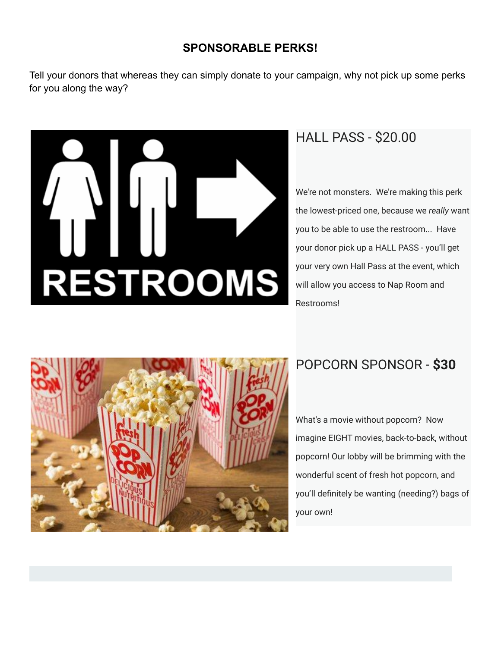#### **SPONSORABLE PERKS!**

Tell your donors that whereas they can simply donate to your campaign, why not pick up some perks for you along the way?



## HALL PASS - \$20.00

We're not monsters. We're making this perk the lowest-priced one, because we *really* want you to be able to use the restroom... Have your donor pick up a HALL PASS - you'll get your very own Hall Pass at the event, which will allow you access to Nap Room and Restrooms!



## POPCORN SPONSOR - **\$30**

What's a movie without popcorn? Now imagine EIGHT movies, back-to-back, without popcorn! Our lobby will be brimming with the wonderful scent of fresh hot popcorn, and you'll definitely be wanting (needing?) bags of your own!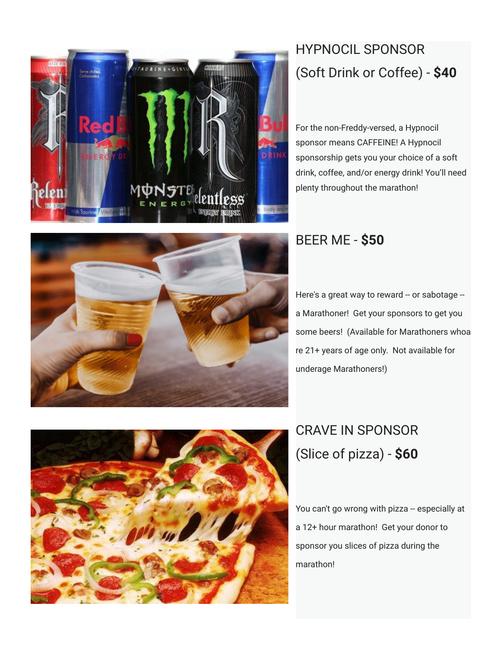

# HYPNOCIL SPONSOR (Soft Drink or Coffee) - **\$40**

For the non-Freddy-versed, a Hypnocil sponsor means CAFFEINE! A Hypnocil sponsorship gets you your choice of a soft drink, coffee, and/or energy drink! You'll need plenty throughout the marathon!



# BEER ME - **\$50**

Here's a great way to reward -- or sabotage -a Marathoner! Get your sponsors to get you some beers! (Available for Marathoners whoa re 21+ years of age only. Not available for underage Marathoners!)



# CRAVE IN SPONSOR (Slice of pizza) - **\$60**

You can't go wrong with pizza -- especially at a 12+ hour marathon! Get your donor to sponsor you slices of pizza during the marathon!